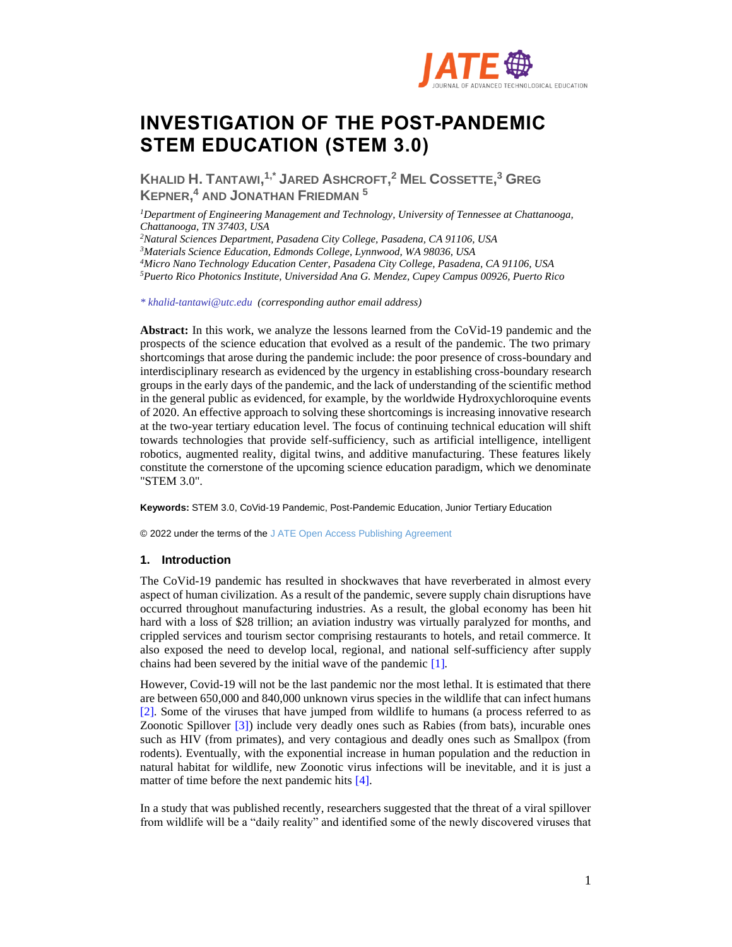

# **INVESTIGATION OF THE POST-PANDEMIC STEM EDUCATION (STEM 3.0)**

**KHALID H. TANTAWI, 1,\* JARED ASHCROFT, <sup>2</sup> MEL COSSETTE, <sup>3</sup> GREG KEPNER, <sup>4</sup> AND JONATHAN FRIEDMAN <sup>5</sup>**

*<sup>1</sup>Department of Engineering Management and Technology, University of Tennessee at Chattanooga, Chattanooga, TN 37403, USA*

*<sup>2</sup>Natural Sciences Department, Pasadena City College, Pasadena, CA 91106, USA*

*<sup>3</sup>Materials Science Education, Edmonds College, Lynnwood, WA 98036, USA*

*<sup>4</sup>Micro Nano Technology Education Center, Pasadena City College, Pasadena, CA 91106, USA*

*<sup>5</sup>Puerto Rico Photonics Institute, Universidad Ana G. Mendez, Cupey Campus 00926, Puerto Rico*

*\* khalid-tantawi@utc.edu (corresponding author email address)*

**Abstract:** In this work, we analyze the lessons learned from the CoVid-19 pandemic and the prospects of the science education that evolved as a result of the pandemic. The two primary shortcomings that arose during the pandemic include: the poor presence of cross-boundary and interdisciplinary research as evidenced by the urgency in establishing cross-boundary research groups in the early days of the pandemic, and the lack of understanding of the scientific method in the general public as evidenced, for example, by the worldwide Hydroxychloroquine events of 2020. An effective approach to solving these shortcomings is increasing innovative research at the two-year tertiary education level. The focus of continuing technical education will shift towards technologies that provide self-sufficiency, such as artificial intelligence, intelligent robotics, augmented reality, digital twins, and additive manufacturing. These features likely constitute the cornerstone of the upcoming science education paradigm, which we denominate "STEM 3.0".

**Keywords:** STEM 3.0, CoVid-19 Pandemic, Post-Pandemic Education, Junior Tertiary Education

© 2022 under the terms of the J ATE Open Access Publishing Agreement

# **1. Introduction**

The CoVid-19 pandemic has resulted in shockwaves that have reverberated in almost every aspect of human civilization. As a result of the pandemic, severe supply chain disruptions have occurred throughout manufacturing industries. As a result, the global economy has been hit hard with a loss of \$28 trillion; an aviation industry was virtually paralyzed for months, and crippled services and tourism sector comprising restaurants to hotels, and retail commerce. It also exposed the need to develop local, regional, and national self-sufficiency after supply chains had been severed by the initial wave of the pandemic [1].

However, Covid-19 will not be the last pandemic nor the most lethal. It is estimated that there are between 650,000 and 840,000 unknown virus species in the wildlife that can infect humans [2]. Some of the viruses that have jumped from wildlife to humans (a process referred to as Zoonotic Spillover [3]) include very deadly ones such as Rabies (from bats), incurable ones such as HIV (from primates), and very contagious and deadly ones such as Smallpox (from rodents). Eventually, with the exponential increase in human population and the reduction in natural habitat for wildlife, new Zoonotic virus infections will be inevitable, and it is just a matter of time before the next pandemic hits [4].

In a study that was published recently, researchers suggested that the threat of a viral spillover from wildlife will be a "daily reality" and identified some of the newly discovered viruses that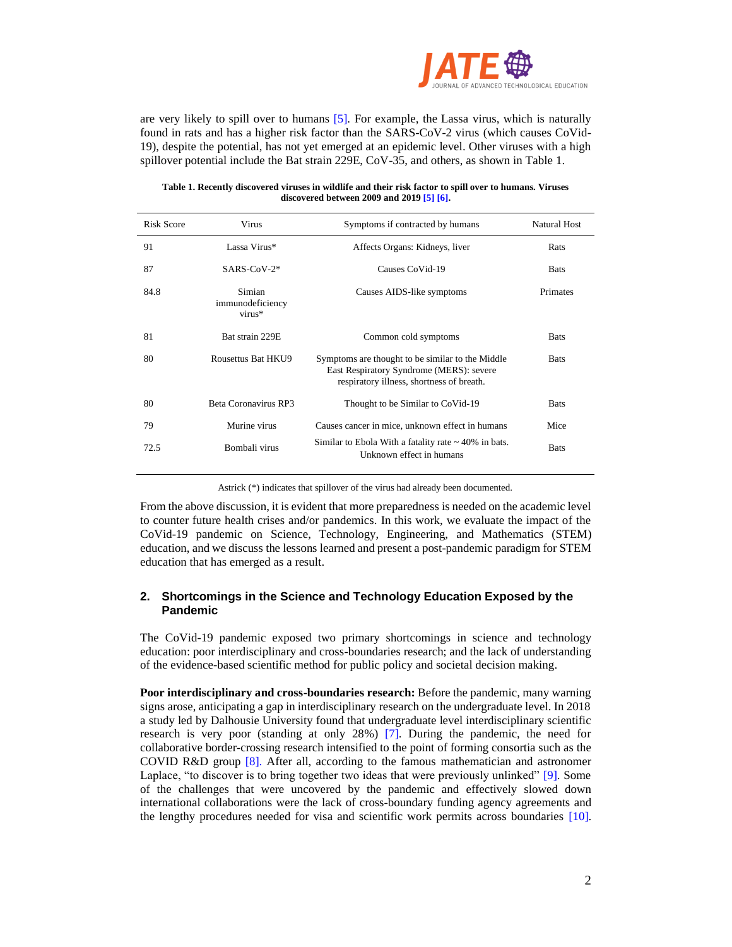

are very likely to spill over to humans [5]. For example, the Lassa virus, which is naturally found in rats and has a higher risk factor than the SARS-CoV-2 virus (which causes CoVid-19), despite the potential, has not yet emerged at an epidemic level. Other viruses with a high spillover potential include the Bat strain 229E, CoV-35, and others, as shown in Table 1.

### **Table 1. Recently discovered viruses in wildlife and their risk factor to spill over to humans. Viruses discovered between 2009 and 2019 [5] [6].**

| <b>Risk Score</b> | Virus                                | Symptoms if contracted by humans                                                                                                          | <b>Natural Host</b> |
|-------------------|--------------------------------------|-------------------------------------------------------------------------------------------------------------------------------------------|---------------------|
| 91                | Lassa Virus*                         | Affects Organs: Kidneys, liver                                                                                                            | Rats                |
| 87                | $SARS-CoV-2*$                        | Causes CoVid-19                                                                                                                           | <b>Bats</b>         |
| 84.8              | Simian<br>immunodeficiency<br>virus* | Causes AIDS-like symptoms                                                                                                                 | Primates            |
| 81                | Bat strain 229E                      | Common cold symptoms                                                                                                                      | <b>Bats</b>         |
| 80                | Rousettus Bat HKU9                   | Symptoms are thought to be similar to the Middle<br>East Respiratory Syndrome (MERS): severe<br>respiratory illness, shortness of breath. | <b>Bats</b>         |
| 80                | Beta Coronavirus RP3                 | Thought to be Similar to CoVid-19                                                                                                         | <b>Bats</b>         |
| 79                | Murine virus                         | Causes cancer in mice, unknown effect in humans                                                                                           | Mice                |
| 72.5              | Bombali virus                        | Similar to Ebola With a fatality rate $\sim$ 40% in bats.<br>Unknown effect in humans                                                     | <b>Bats</b>         |

Astrick (\*) indicates that spillover of the virus had already been documented.

From the above discussion, it is evident that more preparedness is needed on the academic level to counter future health crises and/or pandemics. In this work, we evaluate the impact of the CoVid-19 pandemic on Science, Technology, Engineering, and Mathematics (STEM) education, and we discuss the lessons learned and present a post-pandemic paradigm for STEM education that has emerged as a result.

# **2. Shortcomings in the Science and Technology Education Exposed by the Pandemic**

The CoVid-19 pandemic exposed two primary shortcomings in science and technology education: poor interdisciplinary and cross-boundaries research; and the lack of understanding of the evidence-based scientific method for public policy and societal decision making.

**Poor interdisciplinary and cross-boundaries research:** Before the pandemic, many warning signs arose, anticipating a gap in interdisciplinary research on the undergraduate level. In 2018 a study led by Dalhousie University found that undergraduate level interdisciplinary scientific research is very poor (standing at only 28%) [7]. During the pandemic, the need for collaborative border-crossing research intensified to the point of forming consortia such as the COVID R&D group [8]. After all, according to the famous mathematician and astronomer Laplace, "to discover is to bring together two ideas that were previously unlinked" [9]. Some of the challenges that were uncovered by the pandemic and effectively slowed down international collaborations were the lack of cross-boundary funding agency agreements and the lengthy procedures needed for visa and scientific work permits across boundaries [10].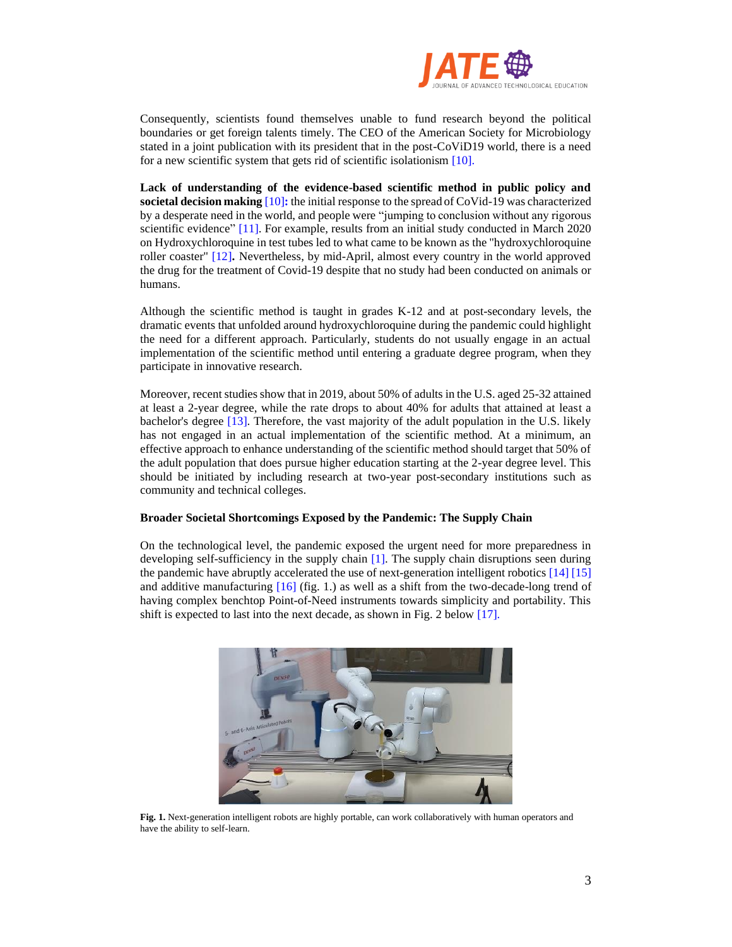

Consequently, scientists found themselves unable to fund research beyond the political boundaries or get foreign talents timely. The CEO of the American Society for Microbiology stated in a joint publication with its president that in the post-CoViD19 world, there is a need for a new scientific system that gets rid of scientific isolationism [10].

**Lack of understanding of the evidence-based scientific method in public policy and societal decision making** [10]**:** the initial response to the spread of CoVid-19 was characterized by a desperate need in the world, and people were "jumping to conclusion without any rigorous scientific evidence" [11]. For example, results from an initial study conducted in March 2020 on Hydroxychloroquine in test tubes led to what came to be known as the "hydroxychloroquine roller coaster" [12]**.** Nevertheless, by mid-April, almost every country in the world approved the drug for the treatment of Covid-19 despite that no study had been conducted on animals or humans.

Although the scientific method is taught in grades K-12 and at post-secondary levels, the dramatic events that unfolded around hydroxychloroquine during the pandemic could highlight the need for a different approach. Particularly, students do not usually engage in an actual implementation of the scientific method until entering a graduate degree program, when they participate in innovative research.

Moreover, recent studies show that in 2019, about 50% of adults in the U.S. aged 25-32 attained at least a 2-year degree, while the rate drops to about 40% for adults that attained at least a bachelor's degree [13]. Therefore, the vast majority of the adult population in the U.S. likely has not engaged in an actual implementation of the scientific method. At a minimum, an effective approach to enhance understanding of the scientific method should target that 50% of the adult population that does pursue higher education starting at the 2-year degree level. This should be initiated by including research at two-year post-secondary institutions such as community and technical colleges.

## **Broader Societal Shortcomings Exposed by the Pandemic: The Supply Chain**

On the technological level, the pandemic exposed the urgent need for more preparedness in developing self-sufficiency in the supply chain [1]. The supply chain disruptions seen during the pandemic have abruptly accelerated the use of next-generation intelligent robotics [14] [15] and additive manufacturing  $[16]$  (fig. 1.) as well as a shift from the two-decade-long trend of having complex benchtop Point-of-Need instruments towards simplicity and portability. This shift is expected to last into the next decade, as shown in Fig. 2 below [17].



**Fig. 1.** Next-generation intelligent robots are highly portable, can work collaboratively with human operators and have the ability to self-learn.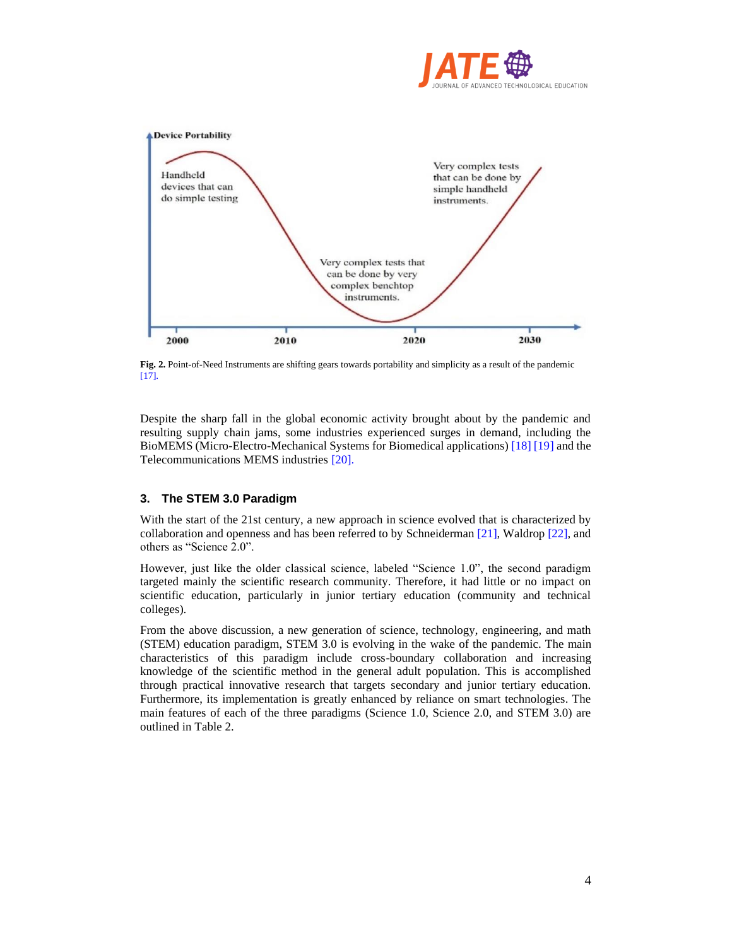



**Fig. 2.** Point-of-Need Instruments are shifting gears towards portability and simplicity as a result of the pandemic [17].

Despite the sharp fall in the global economic activity brought about by the pandemic and resulting supply chain jams, some industries experienced surges in demand, including the BioMEMS (Micro-Electro-Mechanical Systems for Biomedical applications) [18] [19] and the Telecommunications MEMS industries [20].

# **3. The STEM 3.0 Paradigm**

With the start of the 21st century, a new approach in science evolved that is characterized by collaboration and openness and has been referred to by Schneiderman [21], Waldrop [22], and others as "Science 2.0".

However, just like the older classical science, labeled "Science 1.0", the second paradigm targeted mainly the scientific research community. Therefore, it had little or no impact on scientific education, particularly in junior tertiary education (community and technical colleges).

From the above discussion, a new generation of science, technology, engineering, and math (STEM) education paradigm, STEM 3.0 is evolving in the wake of the pandemic. The main characteristics of this paradigm include cross-boundary collaboration and increasing knowledge of the scientific method in the general adult population. This is accomplished through practical innovative research that targets secondary and junior tertiary education. Furthermore, its implementation is greatly enhanced by reliance on smart technologies. The main features of each of the three paradigms (Science 1.0, Science 2.0, and STEM 3.0) are outlined in Table 2.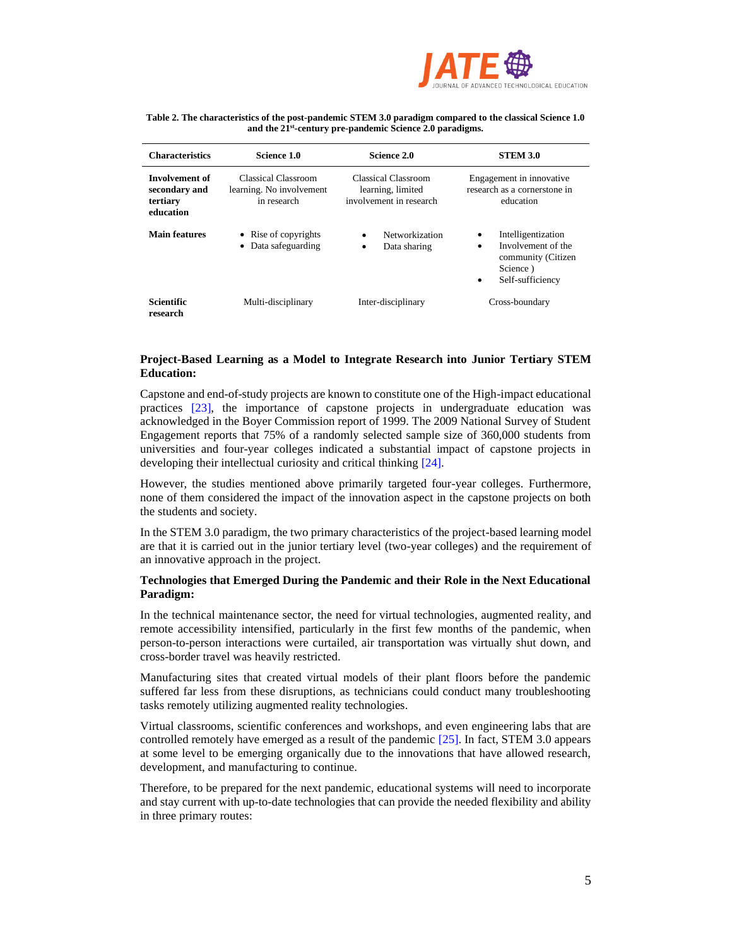

| Table 2. The characteristics of the post-pandemic STEM 3.0 paradigm compared to the classical Science 1.0 |
|-----------------------------------------------------------------------------------------------------------|
| and the 21 <sup>st</sup> -century pre-pandemic Science 2.0 paradigms.                                     |

| <b>Characteristics</b>                                   | Science 1.0                                                    | Science 2.0                                                         | <b>STEM 3.0</b>                                                                                               |
|----------------------------------------------------------|----------------------------------------------------------------|---------------------------------------------------------------------|---------------------------------------------------------------------------------------------------------------|
| Involvement of<br>secondary and<br>tertiary<br>education | Classical Classroom<br>learning. No involvement<br>in research | Classical Classroom<br>learning, limited<br>involvement in research | Engagement in innovative.<br>research as a cornerstone in<br>education                                        |
| <b>Main features</b>                                     | • Rise of copyrights<br>• Data safeguarding                    | Networkization<br>٠<br>Data sharing<br>٠                            | Intelligentization<br>٠<br>Involvement of the<br>٠<br>community (Citizen<br>Science)<br>Self-sufficiency<br>٠ |
| <b>Scientific</b><br>research                            | Multi-disciplinary                                             | Inter-disciplinary                                                  | Cross-boundary                                                                                                |

## **Project-Based Learning as a Model to Integrate Research into Junior Tertiary STEM Education:**

Capstone and end-of-study projects are known to constitute one of the High-impact educational practices [23], the importance of capstone projects in undergraduate education was acknowledged in the Boyer Commission report of 1999. The 2009 National Survey of Student Engagement reports that 75% of a randomly selected sample size of 360,000 students from universities and four-year colleges indicated a substantial impact of capstone projects in developing their intellectual curiosity and critical thinking [24].

However, the studies mentioned above primarily targeted four-year colleges. Furthermore, none of them considered the impact of the innovation aspect in the capstone projects on both the students and society.

In the STEM 3.0 paradigm, the two primary characteristics of the project-based learning model are that it is carried out in the junior tertiary level (two-year colleges) and the requirement of an innovative approach in the project.

## **Technologies that Emerged During the Pandemic and their Role in the Next Educational Paradigm:**

In the technical maintenance sector, the need for virtual technologies, augmented reality, and remote accessibility intensified, particularly in the first few months of the pandemic, when person-to-person interactions were curtailed, air transportation was virtually shut down, and cross-border travel was heavily restricted.

Manufacturing sites that created virtual models of their plant floors before the pandemic suffered far less from these disruptions, as technicians could conduct many troubleshooting tasks remotely utilizing augmented reality technologies.

Virtual classrooms, scientific conferences and workshops, and even engineering labs that are controlled remotely have emerged as a result of the pandemic [25]. In fact, STEM 3.0 appears at some level to be emerging organically due to the innovations that have allowed research, development, and manufacturing to continue.

Therefore, to be prepared for the next pandemic, educational systems will need to incorporate and stay current with up-to-date technologies that can provide the needed flexibility and ability in three primary routes: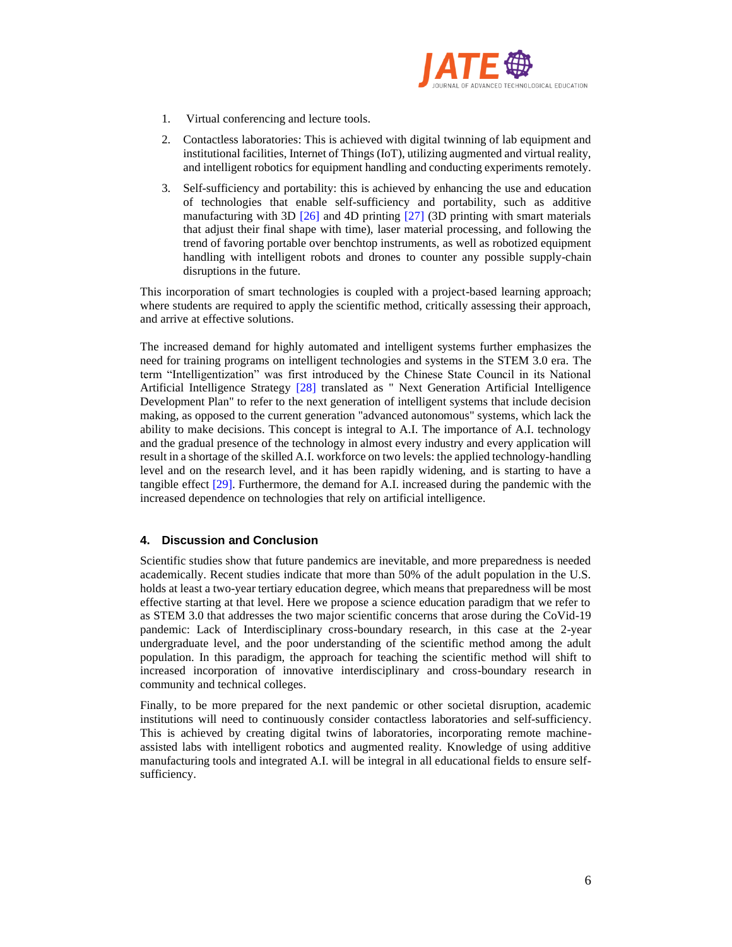

- 1. Virtual conferencing and lecture tools.
- 2. Contactless laboratories: This is achieved with digital twinning of lab equipment and institutional facilities, Internet of Things (IoT), utilizing augmented and virtual reality, and intelligent robotics for equipment handling and conducting experiments remotely.
- 3. Self-sufficiency and portability: this is achieved by enhancing the use and education of technologies that enable self-sufficiency and portability, such as additive manufacturing with 3D [26] and 4D printing [27] (3D printing with smart materials that adjust their final shape with time), laser material processing, and following the trend of favoring portable over benchtop instruments, as well as robotized equipment handling with intelligent robots and drones to counter any possible supply-chain disruptions in the future.

This incorporation of smart technologies is coupled with a project-based learning approach; where students are required to apply the scientific method, critically assessing their approach, and arrive at effective solutions.

The increased demand for highly automated and intelligent systems further emphasizes the need for training programs on intelligent technologies and systems in the STEM 3.0 era. The term "Intelligentization" was first introduced by the Chinese State Council in its National Artificial Intelligence Strategy [28] translated as " Next Generation Artificial Intelligence Development Plan" to refer to the next generation of intelligent systems that include decision making, as opposed to the current generation "advanced autonomous" systems, which lack the ability to make decisions. This concept is integral to A.I. The importance of A.I. technology and the gradual presence of the technology in almost every industry and every application will result in a shortage of the skilled A.I. workforce on two levels: the applied technology-handling level and on the research level, and it has been rapidly widening, and is starting to have a tangible effect [29]. Furthermore, the demand for A.I. increased during the pandemic with the increased dependence on technologies that rely on artificial intelligence.

# **4. Discussion and Conclusion**

Scientific studies show that future pandemics are inevitable, and more preparedness is needed academically. Recent studies indicate that more than 50% of the adult population in the U.S. holds at least a two-year tertiary education degree, which means that preparedness will be most effective starting at that level. Here we propose a science education paradigm that we refer to as STEM 3.0 that addresses the two major scientific concerns that arose during the CoVid-19 pandemic: Lack of Interdisciplinary cross-boundary research, in this case at the 2-year undergraduate level, and the poor understanding of the scientific method among the adult population. In this paradigm, the approach for teaching the scientific method will shift to increased incorporation of innovative interdisciplinary and cross-boundary research in community and technical colleges.

Finally, to be more prepared for the next pandemic or other societal disruption, academic institutions will need to continuously consider contactless laboratories and self-sufficiency. This is achieved by creating digital twins of laboratories, incorporating remote machineassisted labs with intelligent robotics and augmented reality. Knowledge of using additive manufacturing tools and integrated A.I. will be integral in all educational fields to ensure selfsufficiency.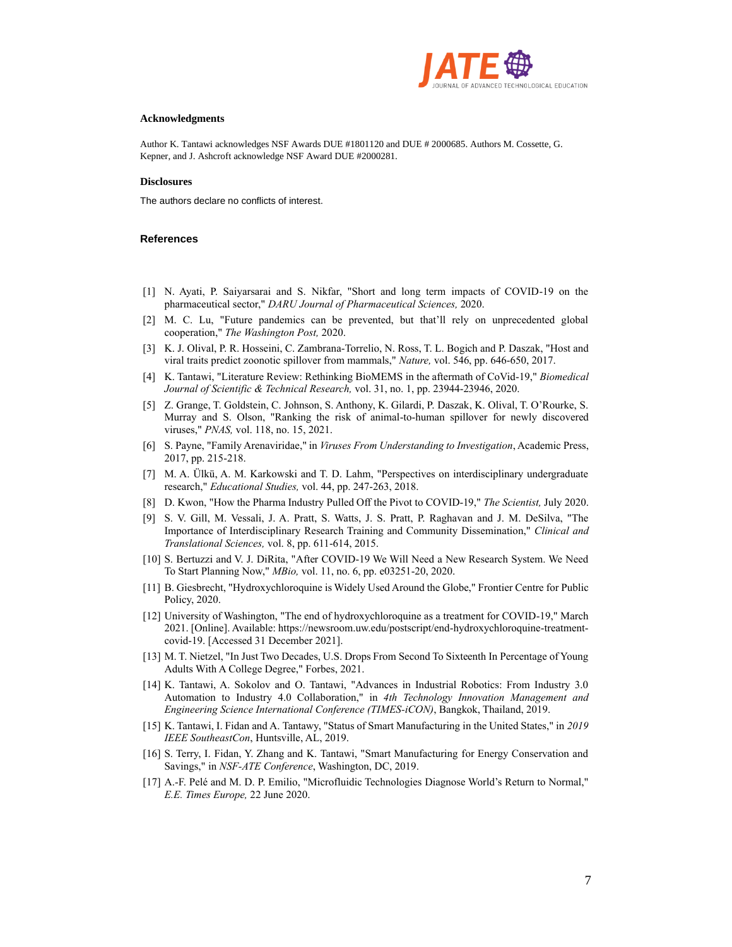

#### **Acknowledgments**

Author K. Tantawi acknowledges NSF Awards DUE #1801120 and DUE # 2000685. Authors M. Cossette, G. Kepner, and J. Ashcroft acknowledge NSF Award DUE #2000281.

#### **Disclosures**

The authors declare no conflicts of interest.

#### **References**

- [1] N. Ayati, P. Saiyarsarai and S. Nikfar, "Short and long term impacts of COVID-19 on the pharmaceutical sector," *DARU Journal of Pharmaceutical Sciences,* 2020.
- [2] M. C. Lu, "Future pandemics can be prevented, but that'll rely on unprecedented global cooperation," *The Washington Post,* 2020.
- [3] K. J. Olival, P. R. Hosseini, C. Zambrana-Torrelio, N. Ross, T. L. Bogich and P. Daszak, "Host and viral traits predict zoonotic spillover from mammals," *Nature,* vol. 546, pp. 646-650, 2017.
- [4] K. Tantawi, "Literature Review: Rethinking BioMEMS in the aftermath of CoVid-19," *Biomedical Journal of Scientific & Technical Research,* vol. 31, no. 1, pp. 23944-23946, 2020.
- [5] Z. Grange, T. Goldstein, C. Johnson, S. Anthony, K. Gilardi, P. Daszak, K. Olival, T. O'Rourke, S. Murray and S. Olson, "Ranking the risk of animal-to-human spillover for newly discovered viruses," *PNAS,* vol. 118, no. 15, 2021.
- [6] S. Payne, "Family Arenaviridae," in *Viruses From Understanding to Investigation*, Academic Press, 2017, pp. 215-218.
- [7] M. A. Ülkü, A. M. Karkowski and T. D. Lahm, "Perspectives on interdisciplinary undergraduate research," *Educational Studies,* vol. 44, pp. 247-263, 2018.
- [8] D. Kwon, "How the Pharma Industry Pulled Off the Pivot to COVID-19," *The Scientist,* July 2020.
- [9] S. V. Gill, M. Vessali, J. A. Pratt, S. Watts, J. S. Pratt, P. Raghavan and J. M. DeSilva, "The Importance of Interdisciplinary Research Training and Community Dissemination," *Clinical and Translational Sciences,* vol. 8, pp. 611-614, 2015.
- [10] S. Bertuzzi and V. J. DiRita, "After COVID-19 We Will Need a New Research System. We Need To Start Planning Now," *MBio,* vol. 11, no. 6, pp. e03251-20, 2020.
- [11] B. Giesbrecht, "Hydroxychloroquine is Widely Used Around the Globe," Frontier Centre for Public Policy, 2020.
- [12] University of Washington, "The end of hydroxychloroquine as a treatment for COVID-19," March 2021. [Online]. Available: https://newsroom.uw.edu/postscript/end-hydroxychloroquine-treatmentcovid-19. [Accessed 31 December 2021].
- [13] M. T. Nietzel, "In Just Two Decades, U.S. Drops From Second To Sixteenth In Percentage of Young Adults With A College Degree," Forbes, 2021.
- [14] K. Tantawi, A. Sokolov and O. Tantawi, "Advances in Industrial Robotics: From Industry 3.0 Automation to Industry 4.0 Collaboration," in *4th Technology Innovation Management and Engineering Science International Conference (TIMES-iCON)*, Bangkok, Thailand, 2019.
- [15] K. Tantawi, I. Fidan and A. Tantawy, "Status of Smart Manufacturing in the United States," in *2019 IEEE SoutheastCon*, Huntsville, AL, 2019.
- [16] S. Terry, I. Fidan, Y. Zhang and K. Tantawi, "Smart Manufacturing for Energy Conservation and Savings," in *NSF-ATE Conference*, Washington, DC, 2019.
- [17] A.-F. Pelé and M. D. P. Emilio, "Microfluidic Technologies Diagnose World's Return to Normal," *E.E. Times Europe,* 22 June 2020.